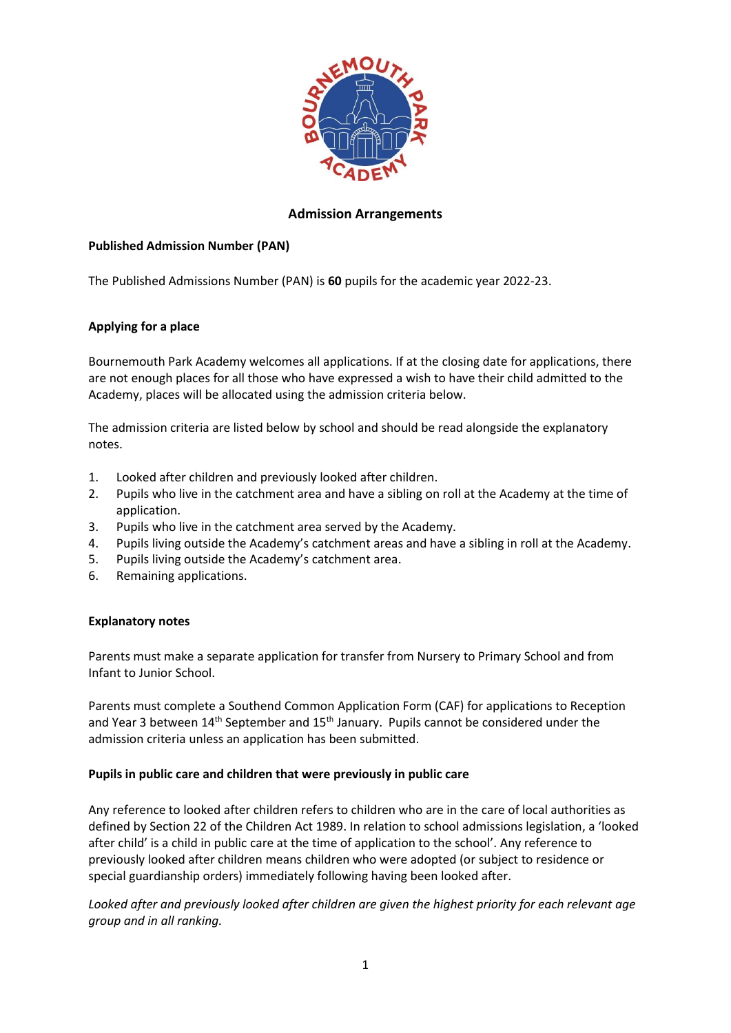

# **Admission Arrangements**

## **Published Admission Number (PAN)**

The Published Admissions Number (PAN) is **60** pupils for the academic year 2022-23.

### **Applying for a place**

Bournemouth Park Academy welcomes all applications. If at the closing date for applications, there are not enough places for all those who have expressed a wish to have their child admitted to the Academy, places will be allocated using the admission criteria below.

The admission criteria are listed below by school and should be read alongside the explanatory notes.

- 1. Looked after children and previously looked after children.
- 2. Pupils who live in the catchment area and have a sibling on roll at the Academy at the time of application.
- 3. Pupils who live in the catchment area served by the Academy.
- 4. Pupils living outside the Academy's catchment areas and have a sibling in roll at the Academy.
- 5. Pupils living outside the Academy's catchment area.
- 6. Remaining applications.

### **Explanatory notes**

Parents must make a separate application for transfer from Nursery to Primary School and from Infant to Junior School.

Parents must complete a Southend Common Application Form (CAF) for applications to Reception and Year 3 between  $14<sup>th</sup>$  September and  $15<sup>th</sup>$  January. Pupils cannot be considered under the admission criteria unless an application has been submitted.

### **Pupils in public care and children that were previously in public care**

Any reference to looked after children refers to children who are in the care of local authorities as defined by Section 22 of the Children Act 1989. In relation to school admissions legislation, a 'looked after child' is a child in public care at the time of application to the school'. Any reference to previously looked after children means children who were adopted (or subject to residence or special guardianship orders) immediately following having been looked after.

*Looked after and previously looked after children are given the highest priority for each relevant age group and in all ranking.*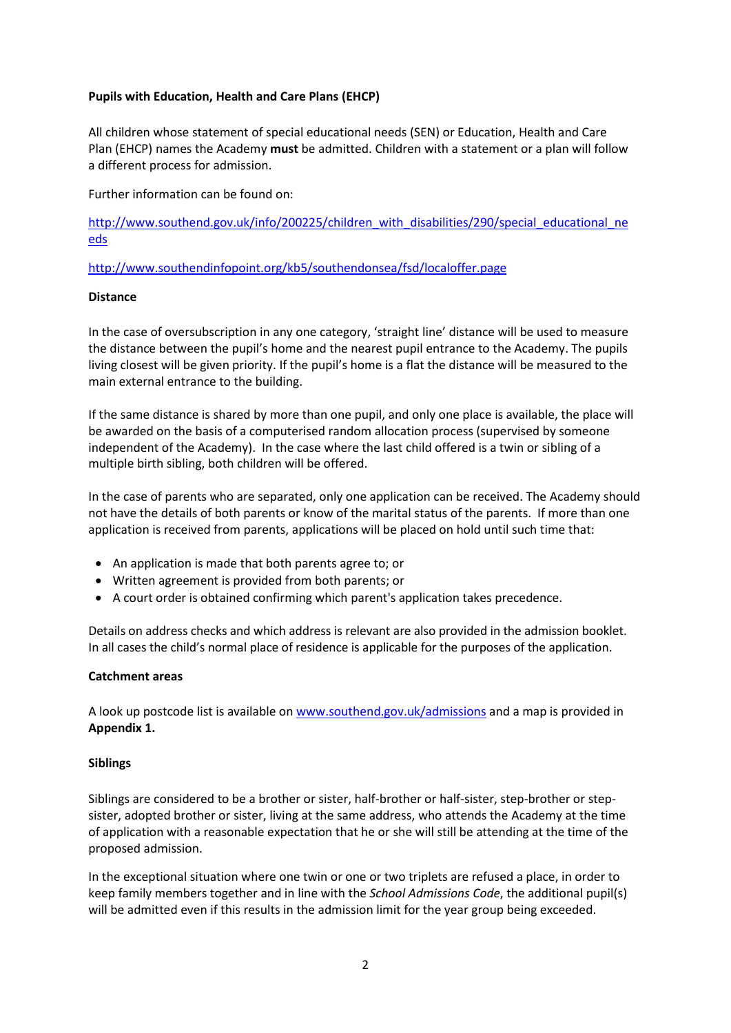### **Pupils with Education, Health and Care Plans (EHCP)**

All children whose statement of special educational needs (SEN) or Education, Health and Care Plan (EHCP) names the Academy **must** be admitted. Children with a statement or a plan will follow a different process for admission.

Further information can be found on:

[http://www.southend.gov.uk/info/200225/children\\_with\\_disabilities/290/special\\_educational\\_ne](http://www.southend.gov.uk/info/200225/children_with_disabilities/290/special_educational_needs) [eds](http://www.southend.gov.uk/info/200225/children_with_disabilities/290/special_educational_needs)

http://www.southendinfopoint.org/kb5/southendonsea/fsd/localoffer.page

### **Distance**

In the case of oversubscription in any one category, 'straight line' distance will be used to measure the distance between the pupil's home and the nearest pupil entrance to the Academy. The pupils living closest will be given priority. If the pupil's home is a flat the distance will be measured to the main external entrance to the building.

If the same distance is shared by more than one pupil, and only one place is available, the place will be awarded on the basis of a computerised random allocation process (supervised by someone independent of the Academy). In the case where the last child offered is a twin or sibling of a multiple birth sibling, both children will be offered.

In the case of parents who are separated, only one application can be received. The Academy should not have the details of both parents or know of the marital status of the parents. If more than one application is received from parents, applications will be placed on hold until such time that:

- An application is made that both parents agree to; or
- Written agreement is provided from both parents; or
- A court order is obtained confirming which parent's application takes precedence.

Details on address checks and which address is relevant are also provided in the admission booklet. In all cases the child's normal place of residence is applicable for the purposes of the application.

### **Catchment areas**

A look up postcode list is available on [www.southend.gov.uk/admissions](http://www.southend.gov.uk/admissions) and a map is provided in **Appendix 1.**

### **Siblings**

Siblings are considered to be a brother or sister, half-brother or half-sister, step-brother or stepsister, adopted brother or sister, living at the same address, who attends the Academy at the time of application with a reasonable expectation that he or she will still be attending at the time of the proposed admission.

In the exceptional situation where one twin or one or two triplets are refused a place, in order to keep family members together and in line with the *School Admissions Code*, the additional pupil(s) will be admitted even if this results in the admission limit for the year group being exceeded.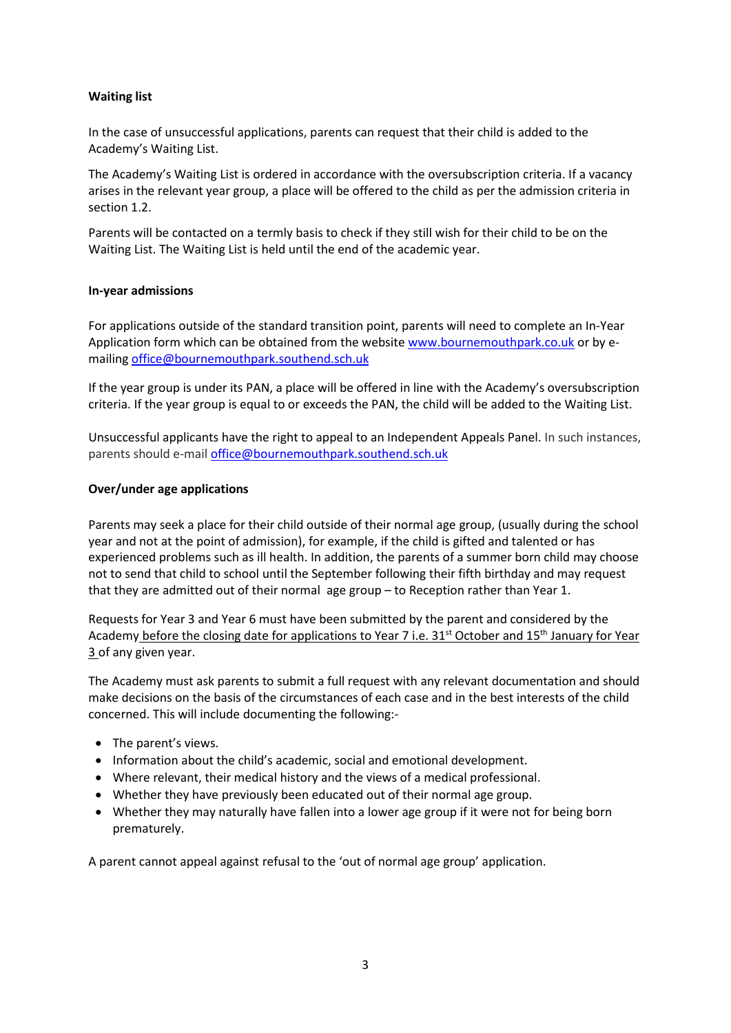## **Waiting list**

In the case of unsuccessful applications, parents can request that their child is added to the Academy's Waiting List.

The Academy's Waiting List is ordered in accordance with the oversubscription criteria. If a vacancy arises in the relevant year group, a place will be offered to the child as per the admission criteria in section 1.2.

Parents will be contacted on a termly basis to check if they still wish for their child to be on the Waiting List. The Waiting List is held until the end of the academic year.

### **In-year admissions**

For applications outside of the standard transition point, parents will need to complete an In-Year Application form which can be obtained from the website [www.bournemouthpark.co.uk](http://www.bournemouthpark.co.uk/) or by emailing [office@bournemouthpark.southend.sch.uk](mailto:office@bournemouthpark.southend.sch.uk)

If the year group is under its PAN, a place will be offered in line with the Academy's oversubscription criteria. If the year group is equal to or exceeds the PAN, the child will be added to the Waiting List.

Unsuccessful applicants have the right to appeal to an Independent Appeals Panel. In such instances, parents should e-mai[l office@bournemouthpark.southend.sch.uk](mailto:office@bournemouthpark.southend.sch.uk)

#### **Over/under age applications**

Parents may seek a place for their child outside of their normal age group, (usually during the school year and not at the point of admission), for example, if the child is gifted and talented or has experienced problems such as ill health. In addition, the parents of a summer born child may choose not to send that child to school until the September following their fifth birthday and may request that they are admitted out of their normal age group – to Reception rather than Year 1.

Requests for Year 3 and Year 6 must have been submitted by the parent and considered by the Academy before the closing date for applications to Year 7 i.e. 31<sup>st</sup> October and 15<sup>th</sup> January for Year 3 of any given year.

The Academy must ask parents to submit a full request with any relevant documentation and should make decisions on the basis of the circumstances of each case and in the best interests of the child concerned. This will include documenting the following:-

- The parent's views.
- Information about the child's academic, social and emotional development.
- Where relevant, their medical history and the views of a medical professional.
- Whether they have previously been educated out of their normal age group.
- Whether they may naturally have fallen into a lower age group if it were not for being born prematurely.

A parent cannot appeal against refusal to the 'out of normal age group' application.